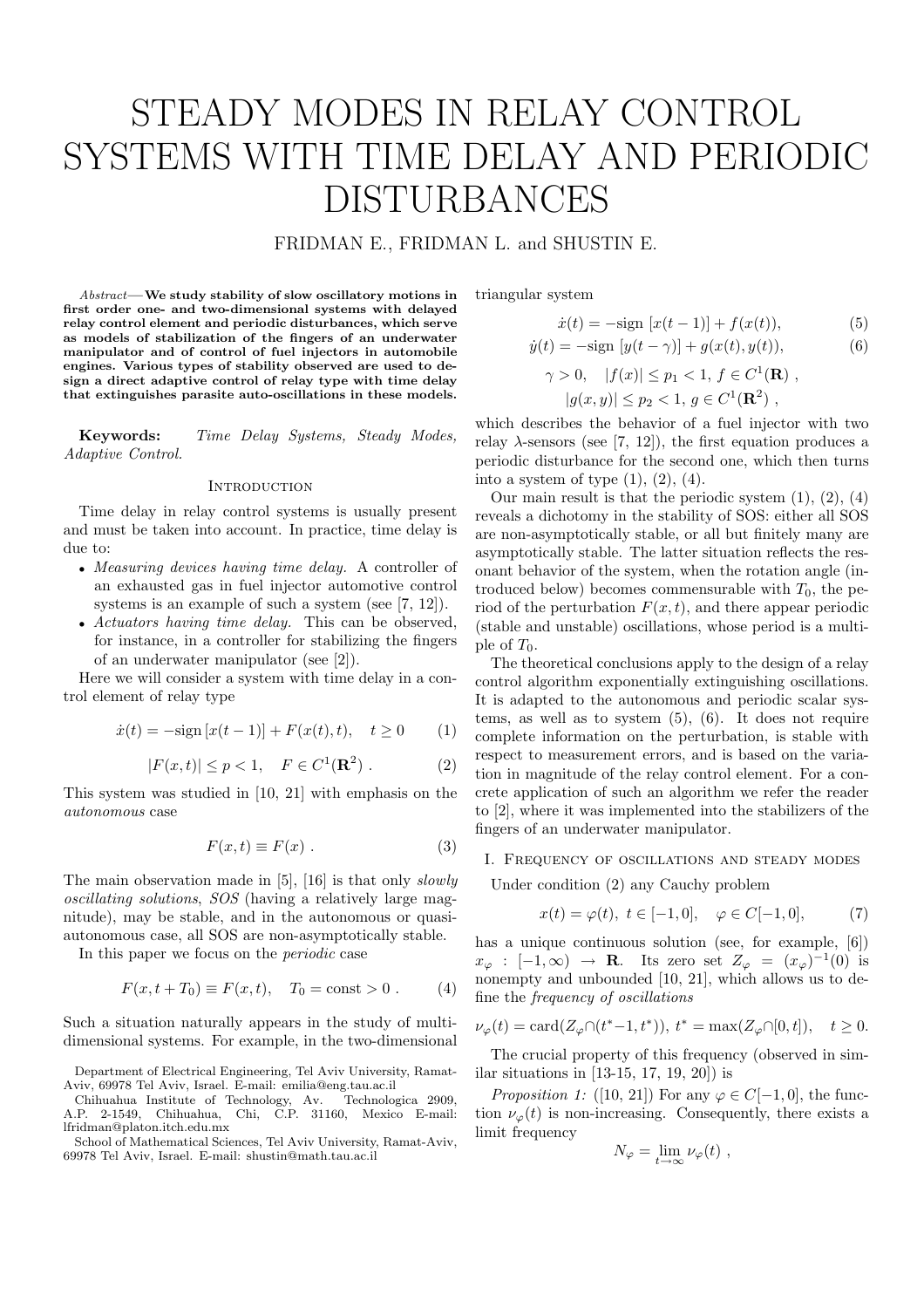# STEADY MODES IN RELAY CONTROL SYSTEMS WITH TIME DELAY AND PERIODIC DISTURBANCES

# FRIDMAN E., FRIDMAN L. and SHUSTIN E.

Abstract—We study stability of slow oscillatory motions in first order one- and two-dimensional systems with delayed relay control element and periodic disturbances, which serve as models of stabilization of the fingers of an underwater manipulator and of control of fuel injectors in automobile engines. Various types of stability observed are used to design a direct adaptive control of relay type with time delay that extinguishes parasite auto-oscillations in these models.

Keywords: Time Delay Systems, Steady Modes, Adaptive Control.

#### **INTRODUCTION**

Time delay in relay control systems is usually present and must be taken into account. In practice, time delay is due to:

- Measuring devices having time delay. A controller of an exhausted gas in fuel injector automotive control systems is an example of such a system (see [7, 12]).
- Actuators having time delay. This can be observed, for instance, in a controller for stabilizing the fingers of an underwater manipulator (see [2]).

Here we will consider a system with time delay in a control element of relay type

$$
\dot{x}(t) = -\text{sign}\left[x(t-1)\right] + F(x(t), t), \quad t \ge 0 \tag{1}
$$

$$
|F(x,t)| \le p < 1, \quad F \in C^1(\mathbf{R}^2) . \tag{2}
$$

This system was studied in [10, 21] with emphasis on the autonomous case

$$
F(x,t) \equiv F(x) . \tag{3}
$$

The main observation made in [5], [16] is that only slowly oscillating solutions, SOS (having a relatively large magnitude), may be stable, and in the autonomous or quasiautonomous case, all SOS are non-asymptotically stable.

In this paper we focus on the periodic case

$$
F(x, t + T_0) \equiv F(x, t), \quad T_0 = \text{const} > 0. \tag{4}
$$

Such a situation naturally appears in the study of multidimensional systems. For example, in the two-dimensional triangular system

$$
\dot{x}(t) = -\text{sign}[x(t-1)] + f(x(t)), \tag{5}
$$

$$
\dot{y}(t) = -\text{sign}[y(t - \gamma)] + g(x(t), y(t)),
$$
\n(6)

$$
\gamma > 0
$$
,  $|f(x)| \le p_1 < 1$ ,  $f \in C^1(\mathbf{R})$ ,  
 $|g(x, y)| \le p_2 < 1$ ,  $g \in C^1(\mathbf{R}^2)$ ,

which describes the behavior of a fuel injector with two relay  $\lambda$ -sensors (see [7, 12]), the first equation produces a periodic disturbance for the second one, which then turns into a system of type  $(1)$ ,  $(2)$ ,  $(4)$ .

Our main result is that the periodic system (1), (2), (4) reveals a dichotomy in the stability of SOS: either all SOS are non-asymptotically stable, or all but finitely many are asymptotically stable. The latter situation reflects the resonant behavior of the system, when the rotation angle (introduced below) becomes commensurable with  $T_0$ , the period of the perturbation  $F(x, t)$ , and there appear periodic (stable and unstable) oscillations, whose period is a multiple of  $T_0$ .

The theoretical conclusions apply to the design of a relay control algorithm exponentially extinguishing oscillations. It is adapted to the autonomous and periodic scalar systems, as well as to system (5), (6). It does not require complete information on the perturbation, is stable with respect to measurement errors, and is based on the variation in magnitude of the relay control element. For a concrete application of such an algorithm we refer the reader to [2], where it was implemented into the stabilizers of the fingers of an underwater manipulator.

# I. Frequency of oscillations and steady modes

Under condition (2) any Cauchy problem

$$
x(t) = \varphi(t), \ t \in [-1, 0], \quad \varphi \in C[-1, 0], \tag{7}
$$

has a unique continuous solution (see, for example, [6])  $x_{\varphi} : [-1, \infty) \rightarrow \mathbf{R}$ . Its zero set  $Z_{\varphi} = (x_{\varphi})^{-1}(0)$  is nonempty and unbounded [10, 21], which allows us to define the frequency of oscillations

$$
\nu_\varphi(t)=\text{card}(Z_\varphi\cap(t^*-1,t^*)),\ t^*=\max(Z_\varphi\cap[0,t]),\quad t\geq 0.
$$

The crucial property of this frequency (observed in similar situations in [13-15, 17, 19, 20]) is

*Proposition 1:* ([10, 21]) For any  $\varphi \in C[-1,0]$ , the function  $\nu_{\varphi}(t)$  is non-increasing. Consequently, there exists a limit frequency

$$
N_{\varphi} = \lim_{t \to \infty} \nu_{\varphi}(t) ,
$$

Department of Electrical Engineering, Tel Aviv University, Ramat-Aviv, 69978 Tel Aviv, Israel. E-mail: emilia@eng.tau.ac.il

Chihuahua Institute of Technology, Av. Technologica 2909, A.P. 2-1549, Chihuahua, Chi, C.P. 31160, Mexico E-mail: lfridman@platon.itch.edu.mx

School of Mathematical Sciences, Tel Aviv University, Ramat-Aviv, 69978 Tel Aviv, Israel. E-mail: shustin@math.tau.ac.il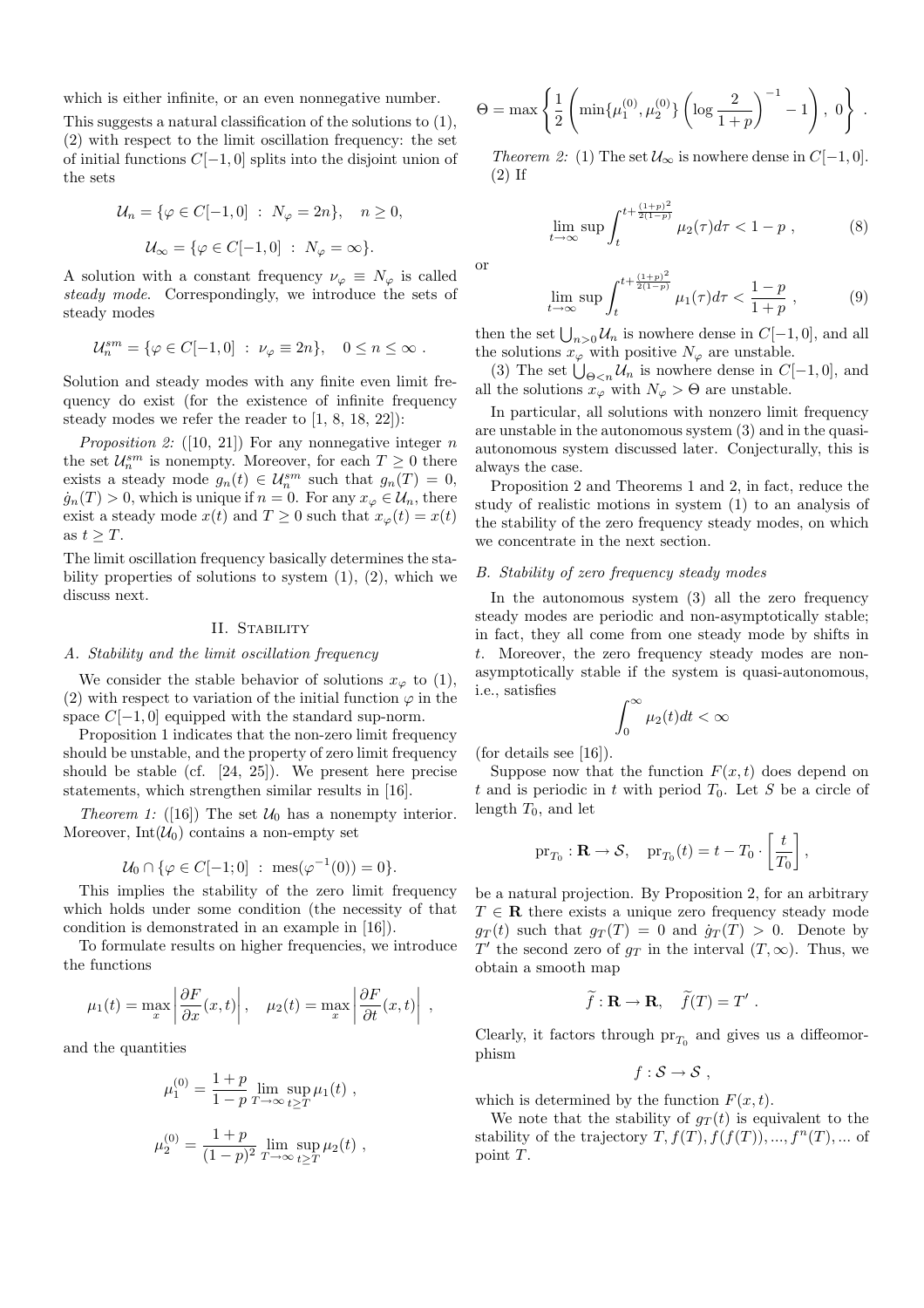which is either infinite, or an even nonnegative number.

This suggests a natural classification of the solutions to (1), (2) with respect to the limit oscillation frequency: the set of initial functions C[−1, 0] splits into the disjoint union of the sets

$$
\mathcal{U}_n = \{ \varphi \in C[-1, 0] : N_{\varphi} = 2n \}, \quad n \ge 0,
$$
  

$$
\mathcal{U}_{\infty} = \{ \varphi \in C[-1, 0] : N_{\varphi} = \infty \}.
$$

A solution with a constant frequency  $\nu_{\varphi} \equiv N_{\varphi}$  is called steady mode. Correspondingly, we introduce the sets of steady modes

$$
\mathcal{U}_n^{sm} = \{ \varphi \in C[-1,0] \ : \ \nu_\varphi \equiv 2n \}, \quad 0 \le n \le \infty \ .
$$

Solution and steady modes with any finite even limit frequency do exist (for the existence of infinite frequency steady modes we refer the reader to [1, 8, 18, 22]):

Proposition 2: ([10, 21]) For any nonnegative integer  $n$ the set  $\mathcal{U}_n^{sm}$  is nonempty. Moreover, for each  $T \geq 0$  there exists a steady mode  $g_n(t) \in \mathcal{U}_n^{sm}$  such that  $g_n(T) = 0$ ,  $\dot{g}_n(T) > 0$ , which is unique if  $n = 0$ . For any  $x_\varphi \in \mathcal{U}_n$ , there exist a steady mode  $x(t)$  and  $T \geq 0$  such that  $x_{\varphi}(t) = x(t)$ as  $t \geq T$ .

The limit oscillation frequency basically determines the stability properties of solutions to system  $(1)$ ,  $(2)$ , which we discuss next.

## II. STABILITY

## A. Stability and the limit oscillation frequency

We consider the stable behavior of solutions  $x_{\varphi}$  to (1), (2) with respect to variation of the initial function  $\varphi$  in the space  $C[-1, 0]$  equipped with the standard sup-norm.

Proposition 1 indicates that the non-zero limit frequency should be unstable, and the property of zero limit frequency should be stable (cf. [24, 25]). We present here precise statements, which strengthen similar results in [16].

*Theorem 1:* ([16]) The set  $U_0$  has a nonempty interior. Moreover,  $Int(\mathcal{U}_0)$  contains a non-empty set

$$
\mathcal{U}_0 \cap \{ \varphi \in C[-1;0] \; : \; \text{mes}(\varphi^{-1}(0)) = 0 \}.
$$

This implies the stability of the zero limit frequency which holds under some condition (the necessity of that condition is demonstrated in an example in [16]).

To formulate results on higher frequencies, we introduce the functions

$$
\mu_1(t) = \max_x \left| \frac{\partial F}{\partial x}(x, t) \right|, \quad \mu_2(t) = \max_x \left| \frac{\partial F}{\partial t}(x, t) \right|,
$$

and the quantities

$$
\mu_1^{(0)} = \frac{1+p}{1-p} \lim_{T \to \infty} \sup_{t \ge T} \mu_1(t) ,
$$
  

$$
\mu_2^{(0)} = \frac{1+p}{(1-p)^2} \lim_{T \to \infty} \sup_{t \ge T} \mu_2(t) ,
$$

$$
\Theta = \max \left\{ \frac{1}{2} \left( \min\{\mu_1^{(0)}, \mu_2^{(0)}\} \left( \log \frac{2}{1+p} \right)^{-1} - 1 \right), 0 \right\} .
$$

Theorem 2: (1) The set  $\mathcal{U}_{\infty}$  is nowhere dense in  $C[-1,0]$ . (2) If

$$
\lim_{t \to \infty} \sup \int_{t}^{t + \frac{(1+p)^2}{2(1-p)}} \mu_2(\tau) d\tau < 1 - p , \qquad (8)
$$

or

$$
\lim_{t \to \infty} \sup \int_{t}^{t + \frac{(1+p)^2}{2(1-p)}} \mu_1(\tau) d\tau < \frac{1-p}{1+p} , \qquad (9)
$$

then the set  $\bigcup_{n>0} U_n$  is nowhere dense in  $C[-1,0]$ , and all the solutions  $x_{\varphi}$  with positive  $N_{\varphi}$  are unstable.

(3) The set  $\bigcup_{\Theta \leq n} \mathcal{U}_n$  is nowhere dense in  $C[-1,0]$ , and all the solutions  $x_{\varphi}$  with  $N_{\varphi} > \Theta$  are unstable.

In particular, all solutions with nonzero limit frequency are unstable in the autonomous system (3) and in the quasiautonomous system discussed later. Conjecturally, this is always the case.

Proposition 2 and Theorems 1 and 2, in fact, reduce the study of realistic motions in system (1) to an analysis of the stability of the zero frequency steady modes, on which we concentrate in the next section.

## B. Stability of zero frequency steady modes

In the autonomous system (3) all the zero frequency steady modes are periodic and non-asymptotically stable; in fact, they all come from one steady mode by shifts in t. Moreover, the zero frequency steady modes are nonasymptotically stable if the system is quasi-autonomous, i.e., satisfies  $r^{\infty}$ 

$$
\int_0^\infty \mu_2(t)dt < \infty
$$

(for details see [16]).

Suppose now that the function  $F(x, t)$  does depend on t and is periodic in t with period  $T_0$ . Let S be a circle of length  $T_0$ , and let

$$
\mathrm{pr}_{T_0}: \mathbf{R} \to \mathcal{S}, \quad \mathrm{pr}_{T_0}(t) = t - T_0 \cdot \left[\frac{t}{T_0}\right],
$$

be a natural projection. By Proposition 2, for an arbitrary  $T \in \mathbf{R}$  there exists a unique zero frequency steady mode  $g_T(t)$  such that  $g_T(T) = 0$  and  $\dot{g}_T(T) > 0$ . Denote by T' the second zero of  $g_T$  in the interval  $(T, \infty)$ . Thus, we obtain a smooth map

$$
\widetilde{f}: \mathbf{R} \to \mathbf{R}, \quad \widetilde{f}(T) = T'.
$$

Clearly, it factors through  $pr_{T_0}$  and gives us a diffeomorphism

$$
f: \mathcal{S} \to \mathcal{S} ,
$$

which is determined by the function  $F(x, t)$ .

We note that the stability of  $g_T(t)$  is equivalent to the stability of the trajectory  $T, f(T), f(f(T)), ..., f^{n}(T), ...$  of point T.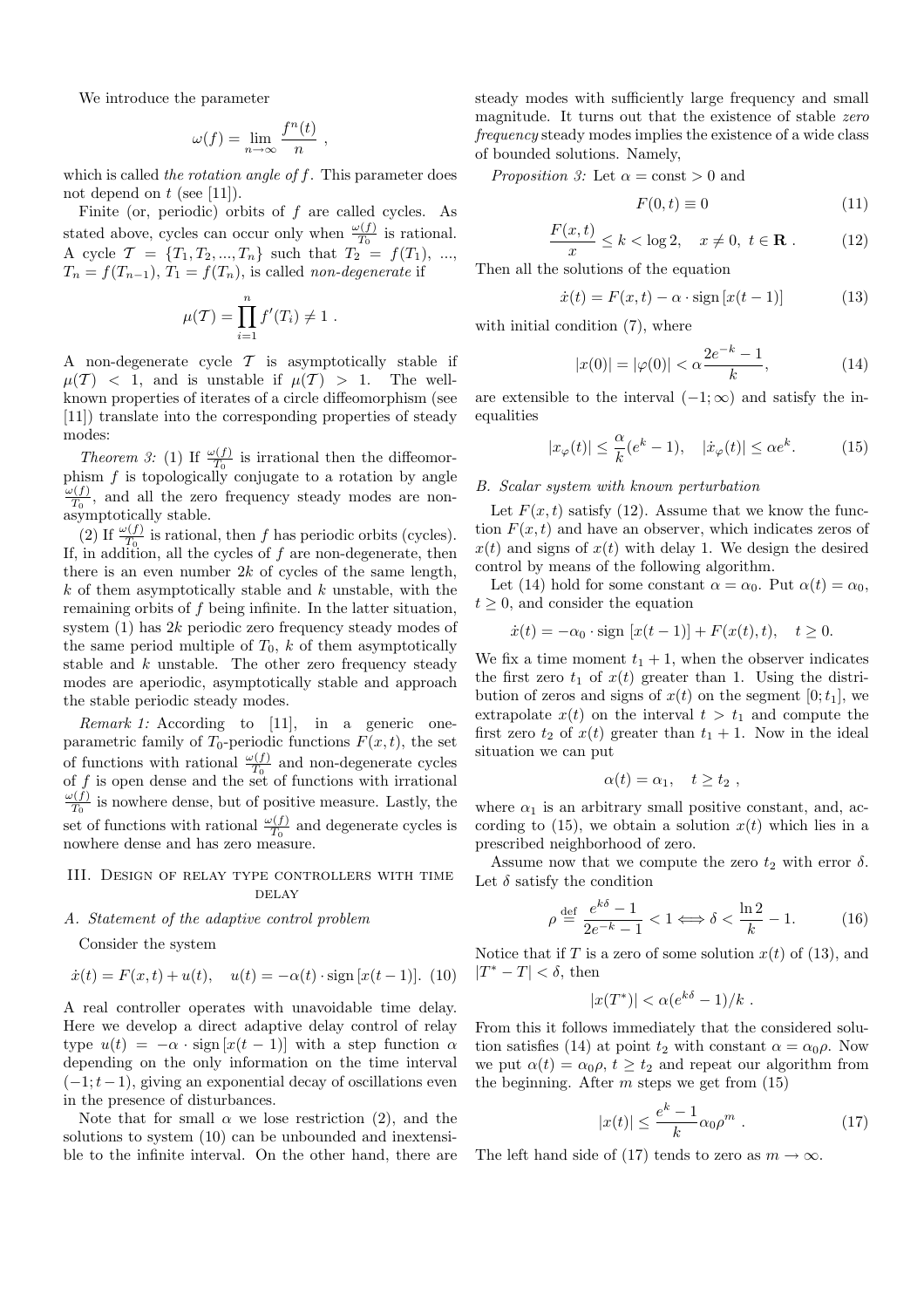We introduce the parameter

$$
\omega(f) = \lim_{n \to \infty} \frac{f^n(t)}{n}
$$

,

which is called the rotation angle of f. This parameter does not depend on  $t$  (see [11]).

Finite (or, periodic) orbits of  $f$  are called cycles. As stated above, cycles can occur only when  $\frac{\omega(f)}{T_0}$  is rational. A cycle  $\mathcal{T} = \{T_1, T_2, ..., T_n\}$  such that  $T_2 = f(T_1), ...,$  $T_n = f(T_{n-1}), T_1 = f(T_n)$ , is called non-degenerate if

$$
\mu(T) = \prod_{i=1}^{n} f'(T_i) \neq 1.
$$

A non-degenerate cycle  $\mathcal T$  is asymptotically stable if  $\mu(T)$  < 1, and is unstable if  $\mu(T) > 1$ . The wellknown properties of iterates of a circle diffeomorphism (see [11]) translate into the corresponding properties of steady modes:

*Theorem 3:* (1) If  $\frac{\omega(f)}{T_0}$  is irrational then the diffeomorphism  $f$  is topologically conjugate to a rotation by angle  $\omega(f)$  $\frac{\partial \langle f \rangle}{\partial T_0}$ , and all the zero frequency steady modes are nonasymptotically stable.

(2) If  $\frac{\omega(f)}{T_0}$  is rational, then f has periodic orbits (cycles). If, in addition, all the cycles of  $f$  are non-degenerate, then there is an even number  $2k$  of cycles of the same length,  $k$  of them asymptotically stable and  $k$  unstable, with the remaining orbits of f being infinite. In the latter situation, system (1) has 2k periodic zero frequency steady modes of the same period multiple of  $T_0$ ,  $k$  of them asymptotically stable and  $k$  unstable. The other zero frequency steady modes are aperiodic, asymptotically stable and approach the stable periodic steady modes.

Remark 1: According to [11], in a generic oneparametric family of  $T_0$ -periodic functions  $F(x, t)$ , the set of functions with rational  $\frac{\omega(f)}{T_0}$  and non-degenerate cycles of f is open dense and the set of functions with irrational  $\omega(f)$  is nowhere dance but of positive measure. Leaths the  $\frac{\partial \langle f \rangle}{\partial T_0}$  is nowhere dense, but of positive measure. Lastly, the set of functions with rational  $\frac{\omega(f)}{T_0}$  and degenerate cycles is nowhere dense and has zero measure.

## III. Design of relay type controllers with time **DELAY**

### A. Statement of the adaptive control problem

Consider the system

$$
\dot{x}(t) = F(x, t) + u(t), \quad u(t) = -\alpha(t) \cdot \text{sign}[x(t-1)]. \tag{10}
$$

A real controller operates with unavoidable time delay. Here we develop a direct adaptive delay control of relay type  $u(t) = -\alpha \cdot \text{sign}[x(t-1)]$  with a step function  $\alpha$ depending on the only information on the time interval  $(-1; t-1)$ , giving an exponential decay of oscillations even in the presence of disturbances.

Note that for small  $\alpha$  we lose restriction (2), and the solutions to system (10) can be unbounded and inextensible to the infinite interval. On the other hand, there are

steady modes with sufficiently large frequency and small magnitude. It turns out that the existence of stable zero frequency steady modes implies the existence of a wide class of bounded solutions. Namely,

*Proposition 3:* Let  $\alpha = \text{const} > 0$  and

$$
F(0,t) \equiv 0 \tag{11}
$$

$$
\frac{F(x,t)}{x} \le k < \log 2, \quad x \ne 0, \ t \in \mathbf{R} \ . \tag{12}
$$

Then all the solutions of the equation

$$
\dot{x}(t) = F(x, t) - \alpha \cdot \text{sign}\left[x(t-1)\right] \tag{13}
$$

with initial condition  $(7)$ , where

$$
|x(0)| = |\varphi(0)| < \alpha \frac{2e^{-k} - 1}{k},\tag{14}
$$

are extensible to the interval  $(-1, \infty)$  and satisfy the inequalities

$$
|x_{\varphi}(t)| \le \frac{\alpha}{k}(e^k - 1), \quad |\dot{x}_{\varphi}(t)| \le \alpha e^k. \tag{15}
$$

# B. Scalar system with known perturbation

Let  $F(x, t)$  satisfy (12). Assume that we know the function  $F(x, t)$  and have an observer, which indicates zeros of  $x(t)$  and signs of  $x(t)$  with delay 1. We design the desired control by means of the following algorithm.

Let (14) hold for some constant  $\alpha = \alpha_0$ . Put  $\alpha(t) = \alpha_0$ ,  $t \geq 0$ , and consider the equation

$$
\dot{x}(t) = -\alpha_0 \cdot \text{sign} [x(t-1)] + F(x(t), t), \quad t \ge 0.
$$

We fix a time moment  $t_1 + 1$ , when the observer indicates the first zero  $t_1$  of  $x(t)$  greater than 1. Using the distribution of zeros and signs of  $x(t)$  on the segment  $[0; t_1]$ , we extrapolate  $x(t)$  on the interval  $t > t_1$  and compute the first zero  $t_2$  of  $x(t)$  greater than  $t_1 + 1$ . Now in the ideal situation we can put

$$
\alpha(t) = \alpha_1, \quad t \ge t_2 \ ,
$$

where  $\alpha_1$  is an arbitrary small positive constant, and, according to (15), we obtain a solution  $x(t)$  which lies in a prescribed neighborhood of zero.

Assume now that we compute the zero  $t_2$  with error  $\delta$ . Let  $\delta$  satisfy the condition

$$
\rho \stackrel{\text{def}}{=} \frac{e^{k\delta} - 1}{2e^{-k} - 1} < 1 \Longleftrightarrow \delta < \frac{\ln 2}{k} - 1. \tag{16}
$$

Notice that if T is a zero of some solution  $x(t)$  of (13), and  $|T^* - T| < \delta$ , then

$$
|x(T^*)| < \alpha (e^{k\delta} - 1)/k.
$$

From this it follows immediately that the considered solution satisfies (14) at point  $t_2$  with constant  $\alpha = \alpha_0 \rho$ . Now we put  $\alpha(t) = \alpha_0 \rho, t \geq t_2$  and repeat our algorithm from the beginning. After  $m$  steps we get from  $(15)$ 

$$
|x(t)| \le \frac{e^k - 1}{k} \alpha_0 \rho^m . \tag{17}
$$

The left hand side of (17) tends to zero as  $m \to \infty$ .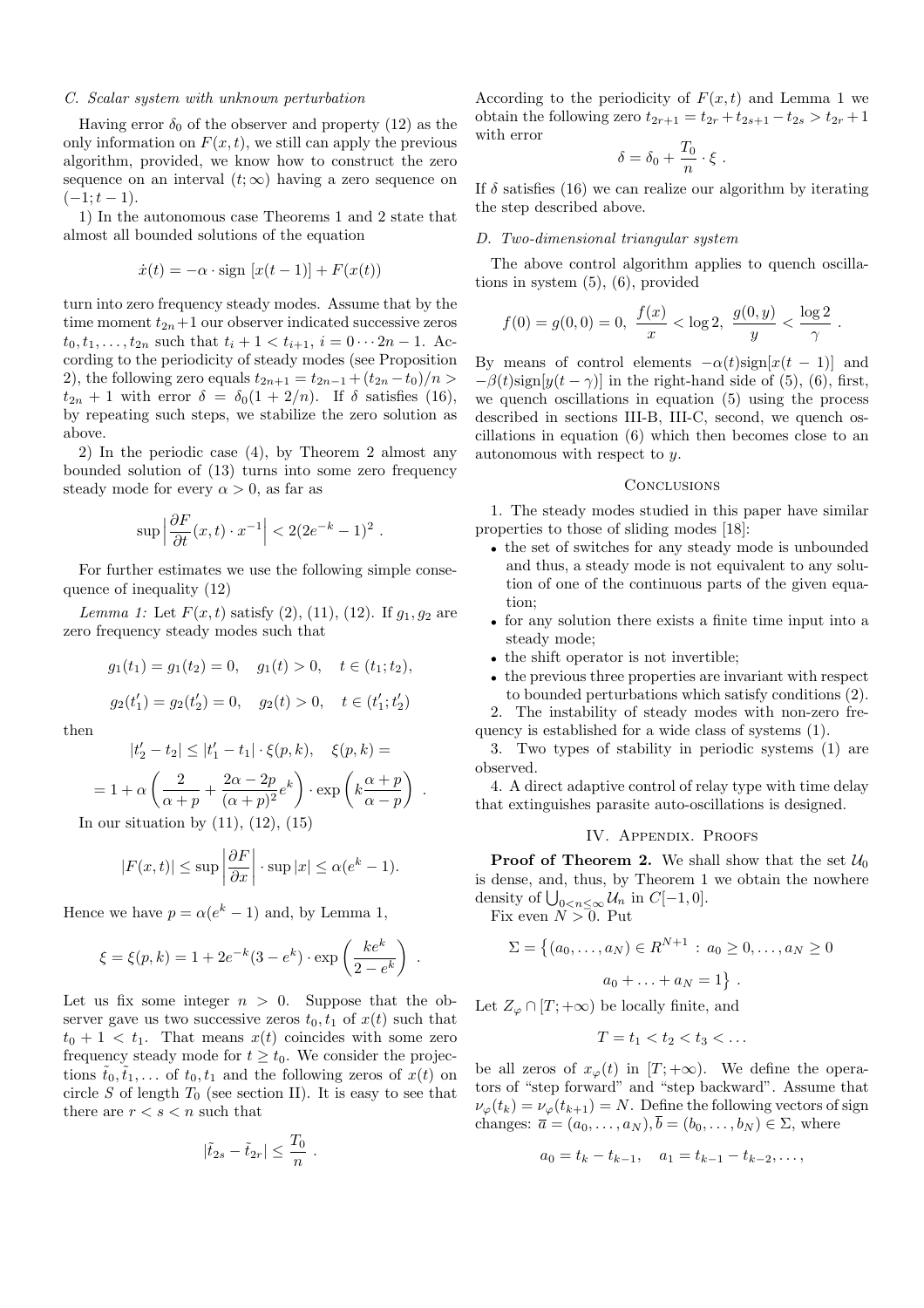#### C. Scalar system with unknown perturbation

Having error  $\delta_0$  of the observer and property (12) as the only information on  $F(x, t)$ , we still can apply the previous algorithm, provided, we know how to construct the zero sequence on an interval  $(t; \infty)$  having a zero sequence on  $(-1; t - 1).$ 

1) In the autonomous case Theorems 1 and 2 state that almost all bounded solutions of the equation

$$
\dot{x}(t) = -\alpha \cdot \text{sign}[x(t-1)] + F(x(t))
$$

turn into zero frequency steady modes. Assume that by the time moment  $t_{2n}+1$  our observer indicated successive zeros  $t_0, t_1, \ldots, t_{2n}$  such that  $t_i + 1 < t_{i+1}, i = 0 \cdots 2n - 1$ . According to the periodicity of steady modes (see Proposition 2), the following zero equals  $t_{2n+1} = t_{2n-1} + (t_{2n} - t_0)/n$  $t_{2n} + 1$  with error  $\delta = \delta_0(1 + 2/n)$ . If  $\delta$  satisfies (16), by repeating such steps, we stabilize the zero solution as above.

2) In the periodic case (4), by Theorem 2 almost any bounded solution of (13) turns into some zero frequency steady mode for every  $\alpha > 0$ , as far as

$$
\sup\left|\frac{\partial F}{\partial t}(x,t)\cdot x^{-1}\right|<2(2e^{-k}-1)^2
$$

.

.

For further estimates we use the following simple consequence of inequality (12)

Lemma 1: Let  $F(x,t)$  satisfy (2), (11), (12). If  $g_1, g_2$  are zero frequency steady modes such that

$$
g_1(t_1) = g_1(t_2) = 0
$$
,  $g_1(t) > 0$ ,  $t \in (t_1; t_2)$ ,  
 $g_2(t'_1) = g_2(t'_2) = 0$ ,  $g_2(t) > 0$ ,  $t \in (t'_1; t'_2)$ 

then

$$
|t'_2 - t_2| \le |t'_1 - t_1| \cdot \xi(p, k), \quad \xi(p, k) =
$$

$$
= 1 + \alpha \left( \frac{2}{\alpha + p} + \frac{2\alpha - 2p}{(\alpha + p)^2} e^k \right) \cdot \exp\left( k \frac{\alpha + p}{\alpha - p} \right)
$$

In our situation by  $(11)$ ,  $(12)$ ,  $(15)$ 

$$
|F(x,t)| \le \sup \left| \frac{\partial F}{\partial x} \right| \cdot \sup |x| \le \alpha (e^k - 1).
$$

Hence we have  $p = \alpha(e^k - 1)$  and, by Lemma 1,

$$
\xi = \xi(p, k) = 1 + 2e^{-k}(3 - e^k) \cdot \exp\left(\frac{ke^k}{2 - e^k}\right).
$$

Let us fix some integer  $n > 0$ . Suppose that the observer gave us two successive zeros  $t_0, t_1$  of  $x(t)$  such that  $t_0 + 1 < t_1$ . That means  $x(t)$  coincides with some zero frequency steady mode for  $t \geq t_0$ . We consider the projections  $t_0, t_1, \ldots$  of  $t_0, t_1$  and the following zeros of  $x(t)$  on circle S of length  $T_0$  (see section II). It is easy to see that there are  $r < s < n$  such that

$$
|\tilde{t}_{2s} - \tilde{t}_{2r}| \leq \frac{T_0}{n} .
$$

According to the periodicity of  $F(x,t)$  and Lemma 1 we obtain the following zero  $t_{2r+1} = t_{2r} + t_{2s+1} - t_{2s} > t_{2r} + 1$ with error

$$
\delta = \delta_0 + \frac{T_0}{n} \cdot \xi \; .
$$

If  $\delta$  satisfies (16) we can realize our algorithm by iterating the step described above.

## D. Two-dimensional triangular system

The above control algorithm applies to quench oscillations in system (5), (6), provided

$$
f(0) = g(0, 0) = 0, \ \frac{f(x)}{x} < \log 2, \ \frac{g(0, y)}{y} < \frac{\log 2}{\gamma}.
$$

By means of control elements  $-\alpha(t)$ sign[x(t – 1)] and  $-\beta(t)$ sign[ $y(t - \gamma)$ ] in the right-hand side of (5), (6), first, we quench oscillations in equation (5) using the process described in sections III-B, III-C, second, we quench oscillations in equation (6) which then becomes close to an autonomous with respect to y.

## **CONCLUSIONS**

1. The steady modes studied in this paper have similar properties to those of sliding modes [18]:

- the set of switches for any steady mode is unbounded and thus, a steady mode is not equivalent to any solution of one of the continuous parts of the given equation;
- for any solution there exists a finite time input into a steady mode;
- the shift operator is not invertible;
- the previous three properties are invariant with respect to bounded perturbations which satisfy conditions (2).

2. The instability of steady modes with non-zero frequency is established for a wide class of systems (1).

3. Two types of stability in periodic systems (1) are observed.

4. A direct adaptive control of relay type with time delay that extinguishes parasite auto-oscillations is designed.

#### IV. Appendix. Proofs

**Proof of Theorem 2.** We shall show that the set  $\mathcal{U}_0$ is dense, and, thus, by Theorem 1 we obtain the nowhere is dense, and, thus, by 1 neorem 1<br>density of  $\bigcup_{0 \le n \le \infty} U_n$  in  $C[-1, 0]$ .

Fix even  $N > 0$ . Put

$$
\Sigma = \{(a_0, \dots, a_N) \in R^{N+1} : a_0 \ge 0, \dots, a_N \ge 0
$$
  

$$
a_0 + \dots + a_N = 1\}.
$$

Let  $Z_{\varphi} \cap [T; +\infty)$  be locally finite, and

$$
T=t_1 < t_2 < t_3 < \ldots
$$

be all zeros of  $x_{\varphi}(t)$  in  $[T; +\infty)$ . We define the operators of "step forward" and "step backward". Assume that  $\nu_{\varphi}(t_k) = \nu_{\varphi}(t_{k+1}) = N$ . Define the following vectors of sign changes:  $\overline{a} = (a_0, \ldots, a_N), \overline{b} = (b_0, \ldots, b_N) \in \Sigma$ , where

$$
a_0 = t_k - t_{k-1}, \quad a_1 = t_{k-1} - t_{k-2}, \dots,
$$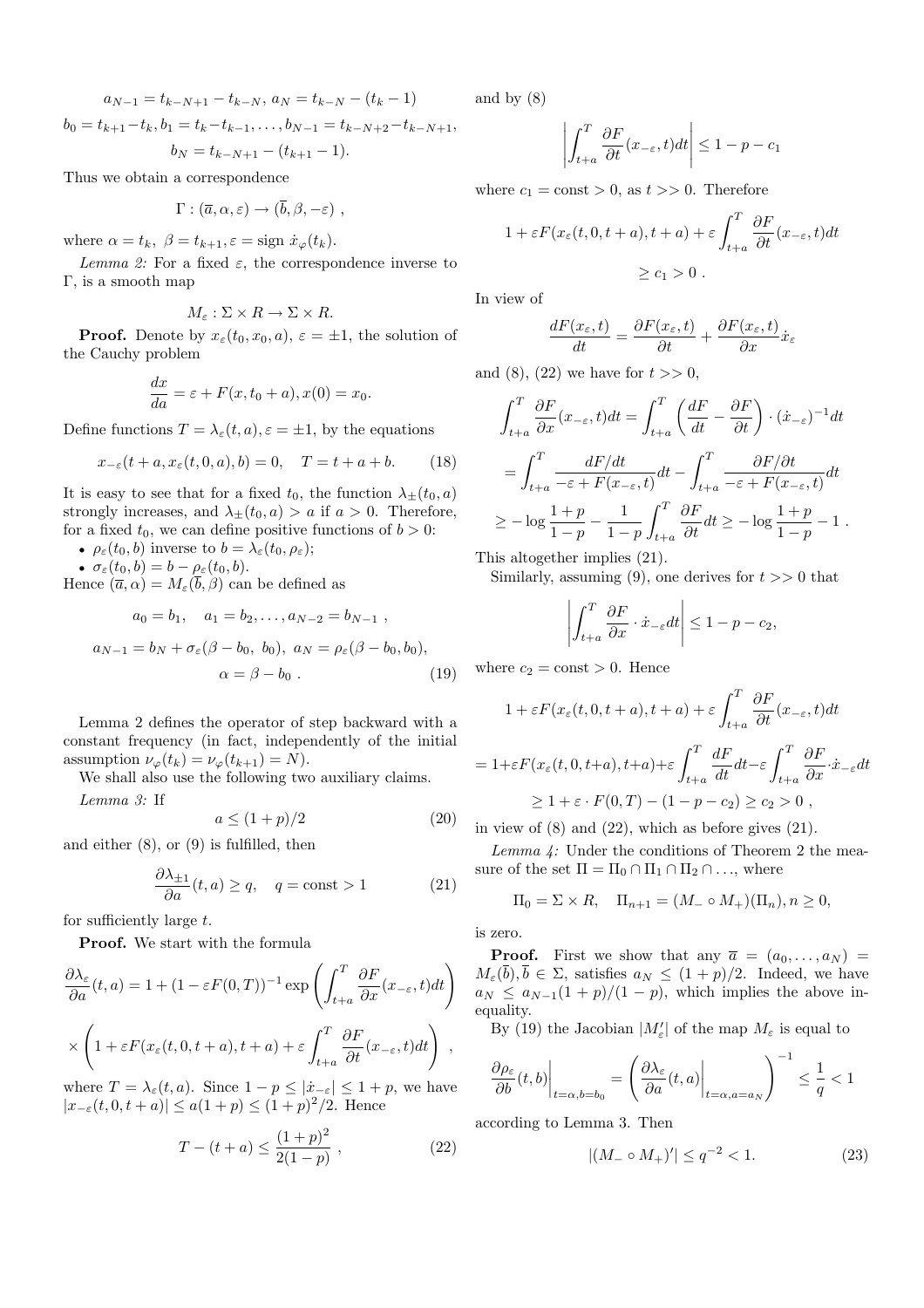$$
a_{N-1} = t_{k-N+1} - t_{k-N}, \ a_N = t_{k-N} - (t_k - 1)
$$
  

$$
b_0 = t_{k+1} - t_k, b_1 = t_k - t_{k-1}, \dots, b_{N-1} = t_{k-N+2} - t_{k-N+1},
$$

$$
b_N = t_{k-N+1} - (t_{k+1} - 1).
$$

Thus we obtain a correspondence

$$
\Gamma : (\overline{a}, \alpha, \varepsilon) \to (\overline{b}, \beta, -\varepsilon) ,
$$

where  $\alpha = t_k$ ,  $\beta = t_{k+1}$ ,  $\varepsilon = \text{sign } \dot{x}_{\varphi}(t_k)$ .

Lemma 2: For a fixed  $\varepsilon$ , the correspondence inverse to Γ, is a smooth map

$$
M_{\varepsilon} : \Sigma \times R \to \Sigma \times R.
$$

**Proof.** Denote by  $x_{\varepsilon}(t_0, x_0, a)$ ,  $\varepsilon = \pm 1$ , the solution of the Cauchy problem

$$
\frac{dx}{da} = \varepsilon + F(x, t_0 + a), x(0) = x_0.
$$

Define functions  $T = \lambda_{\varepsilon}(t, a), \varepsilon = \pm 1$ , by the equations

$$
x_{-\varepsilon}(t+a, x_{\varepsilon}(t, 0, a), b) = 0, \quad T = t+a+b. \tag{18}
$$

It is easy to see that for a fixed  $t_0$ , the function  $\lambda_{\pm}(t_0, a)$ strongly increases, and  $\lambda_{\pm}(t_0, a) > a$  if  $a > 0$ . Therefore, for a fixed  $t_0$ , we can define positive functions of  $b > 0$ :

•  $\rho_{\varepsilon}(t_0, b)$  inverse to  $b = \lambda_{\varepsilon}(t_0, \rho_{\varepsilon});$ 

•  $\sigma_{\varepsilon}(t_0, b) = b - \rho_{\varepsilon}(t_0, b).$ 

Hence  $(\bar{a}, \alpha) = M_{\varepsilon}(\bar{b}, \beta)$  can be defined as

$$
a_0 = b_1, \quad a_1 = b_2, \dots, a_{N-2} = b_{N-1} ,
$$
  

$$
a_{N-1} = b_N + \sigma_{\varepsilon} (\beta - b_0, b_0), \quad a_N = \rho_{\varepsilon} (\beta - b_0, b_0),
$$
  

$$
\alpha = \beta - b_0 .
$$
 (19)

Lemma 2 defines the operator of step backward with a constant frequency (in fact, independently of the initial assumption  $\nu_{\varphi}(t_k) = \nu_{\varphi}(t_{k+1}) = N$ .

We shall also use the following two auxiliary claims.

Lemma 3: If

$$
a \le (1+p)/2 \tag{20}
$$

and either  $(8)$ , or  $(9)$  is fulfilled, then

$$
\frac{\partial \lambda_{\pm 1}}{\partial a}(t, a) \ge q, \quad q = \text{const} > 1 \tag{21}
$$

for sufficiently large  $t$ .

Proof. We start with the formula

$$
\frac{\partial \lambda_{\varepsilon}}{\partial a}(t, a) = 1 + (1 - \varepsilon F(0, T))^{-1} \exp\left(\int_{t+a}^{T} \frac{\partial F}{\partial x}(x_{-\varepsilon}, t) dt\right)
$$

$$
\times \left(1 + \varepsilon F(x_{\varepsilon}(t, 0, t+a), t+a) + \varepsilon \int_{t+a}^{T} \frac{\partial F}{\partial t}(x_{-\varepsilon}, t) dt\right),
$$

where  $T = \lambda_{\varepsilon}(t, a)$ . Since  $1 - p \leq |\dot{x}_{-\varepsilon}| \leq 1 + p$ , we have  $|x_{-\varepsilon}(t, 0, t + a)| \leq a(1+p) \leq (1+p)^2/2$ . Hence

$$
T - (t + a) \le \frac{(1 + p)^2}{2(1 - p)},
$$
\n(22)

and by (8)

$$
\left| \int_{t+a}^{T} \frac{\partial F}{\partial t}(x_{-\varepsilon}, t) dt \right| \leq 1 - p - c_1
$$

where  $c_1 = \text{const} > 0$ , as  $t >> 0$ . Therefore

$$
1 + \varepsilon F(x_{\varepsilon}(t, 0, t + a), t + a) + \varepsilon \int_{t + a}^{T} \frac{\partial F}{\partial t}(x_{-\varepsilon}, t) dt
$$
  
>  $c_1 > 0$ .

In view of

$$
\frac{dF(x_{\varepsilon},t)}{dt} = \frac{\partial F(x_{\varepsilon},t)}{\partial t} + \frac{\partial F(x_{\varepsilon},t)}{\partial x}\dot{x}_{\varepsilon}
$$

and (8), (22) we have for  $t >> 0$ ,

$$
\int_{t+a}^{T} \frac{\partial F}{\partial x}(x_{-\varepsilon}, t)dt = \int_{t+a}^{T} \left(\frac{dF}{dt} - \frac{\partial F}{\partial t}\right) \cdot (\dot{x}_{-\varepsilon})^{-1} dt
$$

$$
= \int_{t+a}^{T} \frac{dF/dt}{-\varepsilon + F(x_{-\varepsilon}, t)} dt - \int_{t+a}^{T} \frac{\partial F/\partial t}{-\varepsilon + F(x_{-\varepsilon}, t)} dt
$$

$$
\geq -\log \frac{1+p}{1-p} - \frac{1}{1-p} \int_{t+a}^{T} \frac{\partial F}{\partial t} dt \geq -\log \frac{1+p}{1-p} - 1.
$$

This altogether implies (21).

Similarly, assuming (9), one derives for  $t \geq 0$  that

$$
\left| \int_{t+a}^{T} \frac{\partial F}{\partial x} \cdot \dot{x}_{-\varepsilon} dt \right| \leq 1 - p - c_2,
$$

where  $c_2 = \text{const} > 0$ . Hence

$$
1 + \varepsilon F(x_{\varepsilon}(t, 0, t + a), t + a) + \varepsilon \int_{t+a}^{T} \frac{\partial F}{\partial t}(x_{-\varepsilon}, t)dt
$$
  
=  $1 + \varepsilon F(x_{\varepsilon}(t, 0, t + a), t + a) + \varepsilon \int_{t+a}^{T} \frac{dF}{dt} dt - \varepsilon \int_{t+a}^{T} \frac{\partial F}{\partial x} \cdot \dot{x}_{-\varepsilon} dt$   
 $\ge 1 + \varepsilon \cdot F(0, T) - (1 - p - c_2) \ge c_2 > 0,$ 

in view of  $(8)$  and  $(22)$ , which as before gives  $(21)$ .

Lemma 4: Under the conditions of Theorem 2 the measure of the set  $\Pi = \Pi_0 \cap \Pi_1 \cap \Pi_2 \cap \ldots$ , where

$$
\Pi_0 = \Sigma \times R, \quad \Pi_{n+1} = (M_- \circ M_+)(\Pi_n), n \ge 0,
$$

is zero.

**Proof.** First we show that any  $\overline{a} = (a_0, \ldots, a_N)$  $M_{\varepsilon}(\overline{b}), \overline{b} \in \Sigma$ , satisfies  $a_N \leq (1+p)/2$ . Indeed, we have  $a_N \le a_{N-1}(1+p)/(1-p)$ , which implies the above inequality.

By (19) the Jacobian  $|M'_{\varepsilon}|$  of the map  $M_{\varepsilon}$  is equal to

$$
\frac{\partial \rho_{\varepsilon}}{\partial b}(t,b)\bigg|_{t=\alpha,b=b_0}=\left(\frac{\partial \lambda_{\varepsilon}}{\partial a}(t,a)\bigg|_{t=\alpha,a=a_N}\right)^{-1}\leq \frac{1}{q}<1
$$

according to Lemma 3. Then

$$
|(M_{-} \circ M_{+})' | \leq q^{-2} < 1. \tag{23}
$$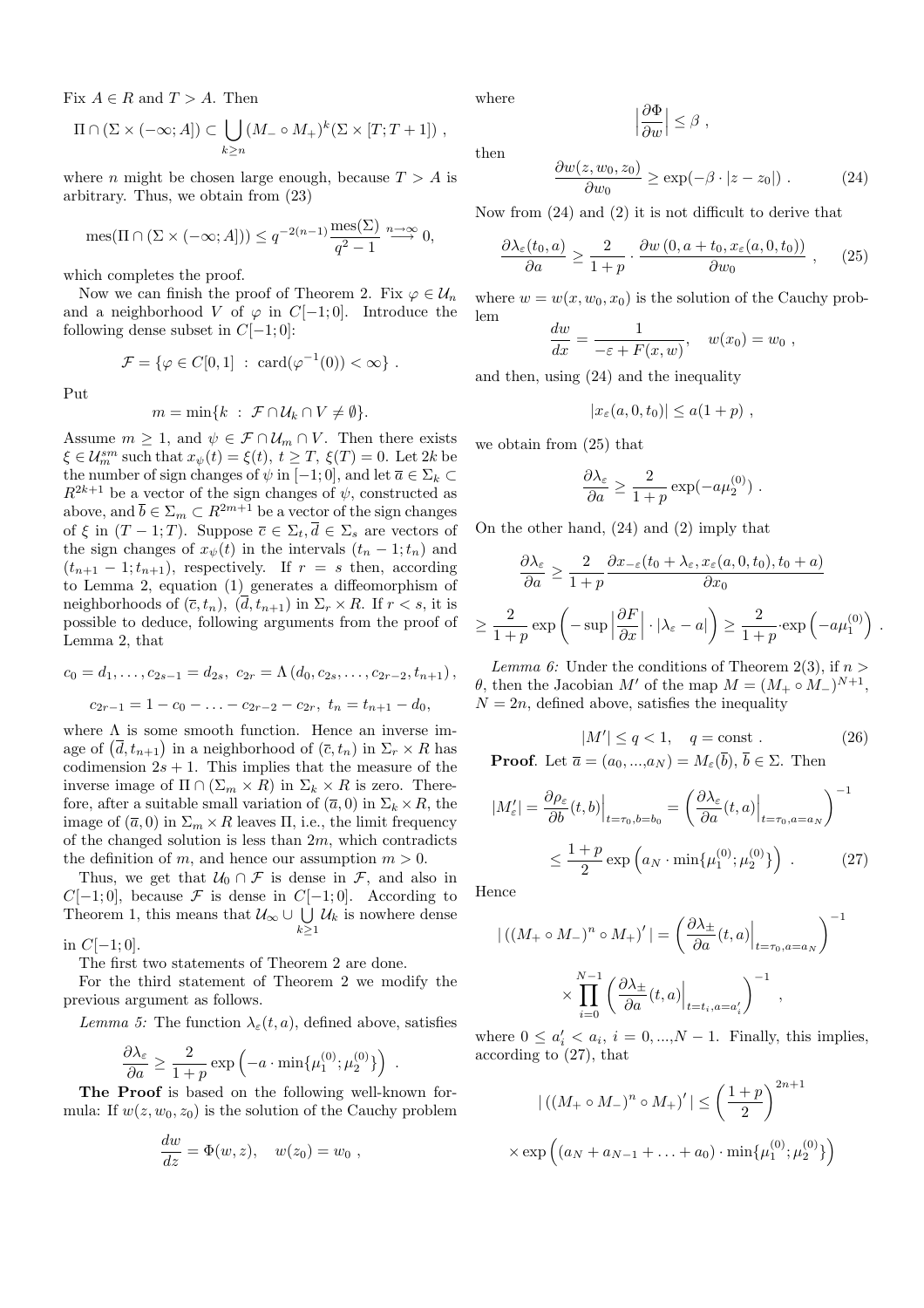Fix  $A \in R$  and  $T > A$ . Then

$$
\Pi \cap (\Sigma \times (-\infty; A]) \subset \bigcup_{k \geq n} (M_- \circ M_+)^k (\Sigma \times [T; T+1]),
$$

where *n* might be chosen large enough, because  $T > A$  is arbitrary. Thus, we obtain from (23)

$$
\operatorname{mes}(\Pi \cap (\Sigma \times (-\infty; A])) \le q^{-2(n-1)} \frac{\operatorname{mes}(\Sigma)}{q^2 - 1} \stackrel{n \to \infty}{\longrightarrow} 0,
$$

which completes the proof.

Now we can finish the proof of Theorem 2. Fix  $\varphi \in \mathcal{U}_n$ and a neighborhood V of  $\varphi$  in  $C[-1,0]$ . Introduce the following dense subset in  $C[-1;0]$ :

$$
\mathcal{F} = \{ \varphi \in C[0,1] \; : \; \text{card}(\varphi^{-1}(0)) < \infty \} \; .
$$

Put

$$
m=\min\{k\;:\; \mathcal{F}\cap\mathcal{U}_k\cap V\neq\emptyset\}.
$$

Assume  $m \geq 1$ , and  $\psi \in \mathcal{F} \cap \mathcal{U}_m \cap V$ . Then there exists  $\xi \in \mathcal{U}_m^{sm}$  such that  $x_{\psi}(t) = \xi(t), t \geq T$ ,  $\xi(T) = 0$ . Let  $2k$  be the number of sign changes of  $\psi$  in [−1; 0], and let  $\overline{a} \in \Sigma_k \subset$  $R^{2k+1}$  be a vector of the sign changes of  $\psi$ , constructed as above, and  $\bar{b} \in \Sigma_m \subset R^{2m+1}$  be a vector of the sign changes of  $\xi$  in  $(T - 1; T)$ . Suppose  $\overline{c} \in \Sigma_t, \overline{d} \in \Sigma_s$  are vectors of the sign changes of  $x_{\psi}(t)$  in the intervals  $(t_n - 1; t_n)$  and  $(t_{n+1} - 1; t_{n+1})$ , respectively. If  $r = s$  then, according to Lemma 2, equation (1) generates a diffeomorphism of neighborhoods of  $(\bar{c}, t_n)$ ,  $(\bar{d}, t_{n+1})$  in  $\Sigma_r \times R$ . If  $r < s$ , it is possible to deduce, following arguments from the proof of Lemma 2, that

$$
c_0 = d_1, \dots, c_{2s-1} = d_{2s}, \ c_{2r} = \Lambda(d_0, c_{2s}, \dots, c_{2r-2}, t_{n+1}),
$$

$$
c_{2r-1} = 1 - c_0 - \dots - c_{2r-2} - c_{2r}, \ t_n = t_{n+1} - d_0,
$$

where  $\Lambda$  is some smooth function. Hence an inverse imwhere  $\Lambda$  is some smooth function. Hence an inverse image of  $(\bar{d}, t_{n+1})$  in a neighborhood of  $(\bar{c}, t_n)$  in  $\Sigma_r \times R$  has codimension  $2s + 1$ . This implies that the measure of the inverse image of  $\Pi \cap (\Sigma_m \times R)$  in  $\Sigma_k \times R$  is zero. Therefore, after a suitable small variation of  $(\bar{a}, 0)$  in  $\Sigma_k \times R$ , the image of  $(\bar{a}, 0)$  in  $\Sigma_m \times R$  leaves  $\Pi$ , i.e., the limit frequency of the changed solution is less than  $2m$ , which contradicts the definition of m, and hence our assumption  $m > 0$ .

Thus, we get that  $U_0 \cap \mathcal{F}$  is dense in  $\mathcal{F}$ , and also in  $C[-1; 0]$ , because F is dense in  $C[-1; 0]$ . According to  $U$ [-1; 0], because  $\mathcal{F}$  is dense in  $U$ [-1; 0]. According to<br>Theorem 1, this means that  $\mathcal{U}_{\infty} \cup \bigcup \mathcal{U}_k$  is nowhere dense  $k>1$ 

in  $C[-1;0]$ .

The first two statements of Theorem 2 are done.

For the third statement of Theorem 2 we modify the previous argument as follows.

Lemma 5: The function  $\lambda_{\varepsilon}(t, a)$ , defined above, satisfies

$$
\frac{\partial \lambda_{\varepsilon}}{\partial a} \ge \frac{2}{1+p} \exp\left(-a \cdot \min\{\mu_1^{(0)}; \mu_2^{(0)}\}\right) .
$$

The Proof is based on the following well-known formula: If  $w(z, w_0, z_0)$  is the solution of the Cauchy problem

$$
\frac{dw}{dz} = \Phi(w, z), \quad w(z_0) = w_0 ,
$$

where

then

$$
\left|\frac{\partial \Phi}{\partial w}\right| \leq \beta ,
$$

$$
\frac{\partial w(z, w_0, z_0)}{\partial w_0} \ge \exp(-\beta \cdot |z - z_0|) \ . \tag{24}
$$

Now from (24) and (2) it is not difficult to derive that

$$
\frac{\partial \lambda_{\varepsilon}(t_0, a)}{\partial a} \ge \frac{2}{1+p} \cdot \frac{\partial w(0, a+t_0, x_{\varepsilon}(a, 0, t_0))}{\partial w_0} , \quad (25)
$$

where  $w = w(x, w_0, x_0)$  is the solution of the Cauchy problem

$$
\frac{dw}{dx} = \frac{1}{-\varepsilon + F(x, w)}, \quad w(x_0) = w_0,
$$

and then, using (24) and the inequality

$$
|x_{\varepsilon}(a,0,t_0)| \leq a(1+p) ,
$$

we obtain from (25) that

$$
\frac{\partial \lambda_{\varepsilon}}{\partial a} \ge \frac{2}{1+p} \exp(-a\mu_2^{(0)}) \ .
$$

On the other hand, (24) and (2) imply that

$$
\frac{\partial \lambda_{\varepsilon}}{\partial a} \ge \frac{2}{1+p} \frac{\partial x_{-\varepsilon}(t_0 + \lambda_{\varepsilon}, x_{\varepsilon}(a, 0, t_0), t_0 + a)}{\partial x_0}
$$

$$
\ge \frac{2}{1+p} \exp\left(-\sup \left|\frac{\partial F}{\partial x}\right| \cdot |\lambda_{\varepsilon} - a|\right) \ge \frac{2}{1+p} \exp\left(-a\mu_1^{(0)}\right) .
$$

Lemma 6: Under the conditions of Theorem 2(3), if  $n >$  $\theta$ , then the Jacobian M' of the map  $M = (M_+ \circ M_-)^{N+1}$ ,  $N = 2n$ , defined above, satisfies the inequality

$$
|M'| \le q < 1, \quad q = \text{const} . \tag{26}
$$
  
**Proof.** Let  $\overline{a} = (a_0, ..., a_N) = M_{\varepsilon}(\overline{b}), \overline{b} \in \Sigma$ . Then

$$
|M'_{\varepsilon}| = \frac{\partial \rho_{\varepsilon}}{\partial b}(t, b)\Big|_{t=\tau_0, b=b_0} = \left(\frac{\partial \lambda_{\varepsilon}}{\partial a}(t, a)\Big|_{t=\tau_0, a=a_N}\right)^{-1}
$$

$$
\leq \frac{1+p}{2} \exp\left(a_N \cdot \min\{\mu_1^{(0)}; \mu_2^{(0)}\}\right) . \tag{27}
$$

Hence

$$
\left| \left( (M_+ \circ M_-)^n \circ M_+ \right)' \right| = \left( \frac{\partial \lambda_{\pm}}{\partial a} (t, a) \Big|_{t = \tau_0, a = a_N} \right)^{-1}
$$

$$
\times \prod_{i=0}^{N-1} \left( \frac{\partial \lambda_{\pm}}{\partial a} (t, a) \Big|_{t = t_i, a = a'_i} \right)^{-1},
$$

where  $0 \leq a'_i < a_i$ ,  $i = 0, ..., N - 1$ . Finally, this implies, according to (27), that

$$
|\left((M_{+} \circ M_{-})^{n} \circ M_{+}\right)'| \leq \left(\frac{1+p}{2}\right)^{2n+1}
$$
  
 
$$
\times \exp\left((a_{N} + a_{N-1} + \dots + a_{0}) \cdot \min\{\mu_{1}^{(0)}; \mu_{2}^{(0)}\}\right)
$$